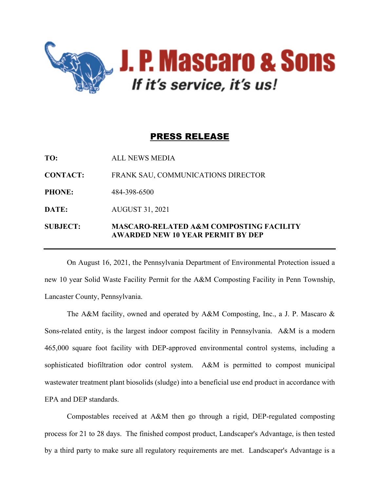

## PRESS RELEASE

**TO:** ALL NEWS MEDIA **CONTACT:** FRANK SAU, COMMUNICATIONS DIRECTOR **PHONE:** 484-398-6500 **DATE:** AUGUST 31, 2021 **SUBJECT: MASCARO-RELATED A&M COMPOSTING FACILITY AWARDED NEW 10 YEAR PERMIT BY DEP**

On August 16, 2021, the Pennsylvania Department of Environmental Protection issued a new 10 year Solid Waste Facility Permit for the A&M Composting Facility in Penn Township, Lancaster County, Pennsylvania.

The A&M facility, owned and operated by A&M Composting, Inc., a J. P. Mascaro & Sons-related entity, is the largest indoor compost facility in Pennsylvania. A&M is a modern 465,000 square foot facility with DEP-approved environmental control systems, including a sophisticated biofiltration odor control system. A&M is permitted to compost municipal wastewater treatment plant biosolids (sludge) into a beneficial use end product in accordance with EPA and DEP standards.

Compostables received at A&M then go through a rigid, DEP-regulated composting process for 21 to 28 days. The finished compost product, Landscaper's Advantage, is then tested by a third party to make sure all regulatory requirements are met. Landscaper's Advantage is a